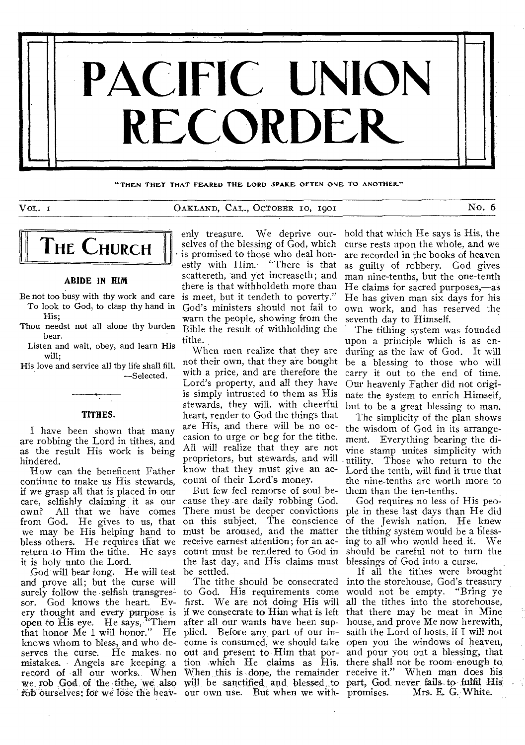

**"THEN THEY THAT FEARED THE LORD SPARE OFTEN ONE TO ANOTHER"** 

VOL. 1 CAKLAND, CAL., OCTOBER 10, 1901 NO. 6

# **THE CHURCH**

# **ABIDE IN HIM**

Be not too busy with thy work and care To look to God, to clasp thy hand in His;

Thou needst not all alone thy burden bear.

Listen and wait, obey, and learn His will;

His love and service all thy life shall fill. —Selected.

#### **TITHES.**

I have been shown that many are robbing the Lord in tithes, and as the result His work is being hindered.

How can the beneficent Father continue to make us His stewards, if we grasp all that is placed in our care, selfishly claiming it as our own? All that we have comes from God. He gives to us, that we may be His helping hand to bless others. He requires that we return to Him the tithe. He says it is holy unto the Lord.

God will bear long. He will test and prove all; but the curse will surely follow the selfish transgressor. God knows the heart. Every thought and every purpose is if we consecrate to Him what is left that there may be meat in Mine open to His eye. He says, "Them that honor Me I will honor." He knows whom to bless, and who deserves the curse. He makes no out and present to Him that por- and pour you out a blessing, that rob ourselves; for we lose the heav-our own use. But when we with-

enly treasure. We deprive ourselves of the blessing of God, which is promised to those who deal honestly with Him.- "There is that scattereth, 'and yet increaseth; and there is that withholdeth more than is meet, but it tendeth to poverty." God's ministers should not fail to warn the people, showing from the Bible the result of withholding the tithe.

not their own, that they are bought with a price, and are therefore the Lord's property, and all they have is simply intrusted to them as His stewards, they will, with cheerful heart, render to God the things that are His, and there will be no occasion to urge or beg for the tithe. All will realize that they are not proprietors, but stewards, and will know that they must give an account of their Lord's money.

But few feel remorse of soul because they .are daily robbing God. There must be deeper convictions ple in these last days than He did on this subject. The conscience must be aroused, and the matter receive earnest attention; for an account must be rendered to God in the last day, and His claims must blessings of God into a curse. be settled.

The tithe should be consecrated to God. His requirements come first. We are not doing His will after all our wants have been supplied. Before any, part of our in-

hold that which He says is His, the curse rests upon the whole, and we are recorded in the books of heaven as guilty of robbery. God gives man nine-tenths, but the one-tenth He claims for sacred purposes,—aS He has given man six days for his own work, and has reserved the seventh day to Himself.

When men realize that they are during as the law of God. It will The tithing system was founded upon a principle which is as enbe a blessing to those who will carry it out to the end of time. Our heavenly Father did not originate the system to enrich Himself, but to be a great blessing to man.

> The simplicity of the plan shows the wisdom of God in its arrangement. Everything bearing the divine stamp unites simplicity with utility. Those who return to the Lord the tenth, will find it true that the nine-tenths are worth more to them than the ten-tenths.

God requires no less of His peoof the Jewish nation. He knew the tithing system would he a blessing to all who would heed it. We should be careful not to turn the

mistakes. Angels are keeping a tion which He claims as His. there shall not be room enough to record of all our works. When When this is done, the remainder receive it." When man does his we rob God of the tithe, we also will be sanctified and blessed to part, God never fails to fulfil His come is consumed, we should take open you the windows of heaven, If all the tithes were brought into the storehouse, God's treasury would not be empty. "Bring ye all the tithes into the storehouse, house, and prove Me now herewith, saith the Lord of hosts. if I will not Mrs. E. G. White.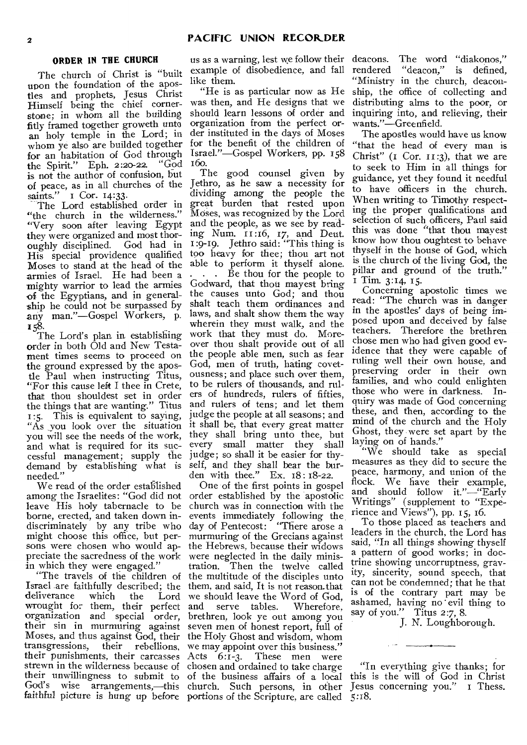# **ORDER IN THE CHURCH**

The church of Christ is "built upon the foundation of the apostles and prophets, Jesus Christ Himself being the chief cornerstone; in whom all the building fitly framed together groweth unto an holy temple in the Lord; in whom ye also are builded together for an habitation of God through the Spirit." Eph. 2:20-22. "God is not the author of confusion, but of peace, as in all churches of the saints." I Cor. 14:33.

The Lord established order in "the church in the wilderness." "Very soon after leaving Egypt they were organized and most thoroughly disciplined. God had in His special providence qualified Moses to stand at the head of the armies of Israel. He had been a mighty warrior to lead the armies of the Egyptians, and in generalship he could not be surpassed by any man."—Gospel Workers, p. 158.

The Lord's plan in establishing order in both Old and New Testament times seems to proceed on the ground expressed by the apostle Paul when instructing Titus, "For this cause left I thee in Crete, that thou shouldest set in order the things that are wanting." Titus 1:5. This is equivalent to saying, "As you look over the situation you will see the needs of the work, and what is required for its successful management; supply the demand by establishing what is needed."

We read of the order established among the Israelites: "God did not leave His holy tabernacle to be borne, erected, and taken down indiscriminately by any tribe who might choose this office, but persons were chosen who would appreciate the sacredness of the work in which they were engaged."

Israel are faithfully described; the them, and said, It is not reason.that deliverance which the Lord wrought for them, their perfect organization and special order, their sin in murmuring against Moses, and thus against God, their the Holy Ghost and wisdom, whom transgressions, their rebellions, we may appoint over this business." their punishments, their carcasses Acts 6:1-3. These men were strewn in the wilderness because of chosen and ordained to take charge their unwillingness to submit to of the business affairs of a local God's wise arrangements,—this church. Such persons, in other faithful picture is hung up before portions of the Scripture, are called 5:18.

us as a warning, lest we follow their example of disobedience, and fall like them.

"He is as particular now as He was then, and He designs that we should learn lessons of order and organization from the perfect order instituted in the days of Moses for the benefit of the children of Israel."—Gospel Workers, pp. 158 16o.

The good counsel given by Jethro, as he saw a necessity for dividing among the people the great burden that rested upon Moses, was recognized by the Lord and the people, as we see by reading Num.  $11:16$ , 17, and Deut. 1:9-19. Jethro said: "This thing is too heavy for thee; thou art not able to perform it thyself alone. . . . Be thou for the people to Godward, that thou mayest bring the causes unto God; and thou shalt teach them ordinances and laws, and shalt show them the way wherein they must walk, and the work that they must do. Moreover thou shalt provide out of all the people able men, such as fear God, men of truth, hating covetousness; and place such over them, to be rulers of thousands, and rulers of hundreds, rulers of fifties, and rulers of tens; and let them judge the people at all seasons; and it shall be, that every great matter they shall bring unto thee, but every small matter they shall judge; so shall it be easier for thyself, and they shall bear the burden with thee." Ex. 18: 18-22.

"The travels of the children of the multitude of the disciples unto One of the first points in gospel order established by the apostolic church was in connection with the events immediately following the day of Pentecost: "There arose a murmuring of the Grecians against the Hebrews, because their widows were neglected in the daily minis-<br>tration. Then the twelve called Then the twelve called we should leave the Word of God, and serve tables. Wherefore, brethren, look ye out among you seven men of honest report, full of

deacons. The word "diakonos," rendered "deacon," is defined, "Ministry in the church, deaconship, the office of collecting and distributing alms to the poor, or inquiring into, and relieving, their wants."—Greenfield.

The apostles would have us know "that the head of every man is Christ" (I Cor. 11:3), that we are to seek to Him in all things for guidance, yet they found it needful to have officers in the church. When writing to Timothy respecting the proper qualifications and selection of such officers, Paul said this was done "that thou mavest know how thou oughtest to behave thyself in the house of God, which is the church of the living God, the pillar and ground of the truth." I Tim. 3:14, 15.

Concerning apostolic times we read: "The church was in danger in the apostles' days of being imposed upon and deceived by false teachers. Therefore the brethren chose men who had given good evidence that they were capable of ruling well their own house, and preserving order in their own families, and who could enlighten those who were in darkness. Inquiry was made of God concerning these, and then, according to the mind of the church and the Holy Ghost, they were set apart by the laying on of hands."

"We should take as special measures as they did to secure the peace, harmony, and union of the flock. We have their example, and should follow it."—"Early Writings" (supplement to "Experience and Views"), pp. 15, 16.

To those placed as teachers and leaders in the church, the Lord has said, "In all things showing thyself a pattern of good works; in doctrine showing uncorruptness, gravity, sincerity, sound speech, that can not be condemned; that he that is of the contrary part may be ashamed, having no evil thing to say of you." Titus 2:7, 8.

J. N. Loughborough.

"In everything give thanks; for this is the will of God in Christ Jesus concerning you." 1 Thess.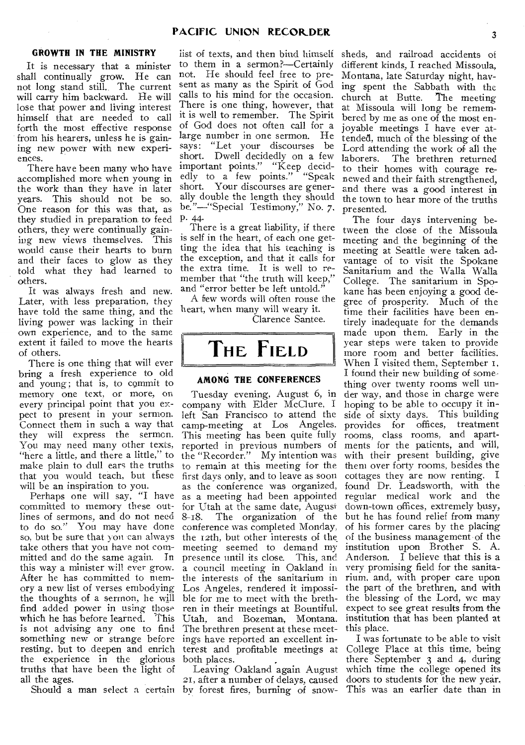# **GROWTH IN THE MINISTRY**

It is necessary that a minister shall continually grow. He can not long stand still. The current will carry him backward. He will lose that power and living interest himself that are needed to call forth the most effective response from his hearers, unless he is gaining new power with new experiences.

There have been many who have accomplished more when young in the work than they have in later years. This should not be so. One reason for this was that, as they studied in preparation to feed others, they were continually gaining new views themselves. This would cause their hearts to burn and their faces to glow as they told what they had learned to others.

It was always fresh and new. Later, with less preparation, they have told the same thing, and the living power was lacking in their own experience, and to the same extent it failed to move the hearts of others.

There is one thing that will ever bring a fresh experience to old and young; that is, to commit to memory one text, or more, on every principal point that you expect to present in your sermon. Connect them in such a way that they will express the sermon. You may need many other texts, "here a little, and there a little," to make plain to dull ears the truths that you would teach, but these will be an inspiration to you.

Perhaps one will say, "I have committed to memory these outlines of sermons, and do not need to do so." You may have done so, but be sure that you can always take others that you have not committed and do the same again. In this way a minister will ever grow. After he has committed to memory a new list of verses embodying the thoughts of a sermon, he will find added power in using those which he has before learned. This is not advising any one to find something new or strange before resting, but to deepen and enrich the experience in the glorious truths that have been the light of all the ages.

list of texts, and then bind himself to them in a sermon?—Certainly not. He should feel free to present as many as the Spirit of God calls to his mind for the occasion. There is one thing, however, that it is well to remember. The Spirit of God does not often call for a large number in one sermon. He says: "Let your discourses be short. Dwell decidedly on a few important points." "Keep decidedly to a few points." "Speak short. Your discourses are generally double the length they should be."—"Special Testimony," No. 7,

P. 44- There is a great liability, if there is self in the heart, of each one getting the idea that his teaching is the exception, and that it calls for the extra time. It is well to remember that "the truth will keep," and "error better be left untold."

A flew words will often rouse the heart, when many will weary it. Clarence Santee.



#### **AMONG THE CONFERENCES**

Tuesday evening, August 6, in company with Elder McClure, I left San Francisco to attend the camp-meeting at Los Angeles. This meeting has been quite fully reported in previous numbers of the "Recorder." My intention was to remain at this meeting for the first days only, and to leave as soon as the conference was organized, as a meeting had been appointed for Utah at the same date, August 8-18. The organization of the The organization of the conference was completed Monday, the 12th, but other interests of the meeting seemed to demand my presence until its close. This, and a council meeting in Oakland in very promising field for the sanita-Utah, and Bozeman, Montana. The brethren present at these meetings have reported an excellent interest and profitable meetings at both places.

Should a man select a certain by forest fires, burning of snow-21, after a number of delays, caused

sheds, and railroad accidents of different kinds, I reached Missoula, Montana, late Saturday night, having spent the Sabbath with the church at Butte. The meeting at Missoula will long be remembered by me as one of the most enjoyable meetings I have ever attended, much of the blessing of the Lord attending the work of all the laborers. The brethren returned to their homes with courage renewed and their faith strengthened, and there was a good interest in the town to hear more of the truths presented.

the interests of the sanitarium in rium, and, with proper care upon Los Angeles, rendered it impossi-the part of the brethren, and with ble for me to meet with the breth-the blessing of the Lord, we may ren in their meetings at Bountiful, expect to see great results from the The four days intervening between the close of the Missoula meeting and the beginning of the meeting at Seattle were taken advantage of to visit the Spokane Sanitarium and the Walla Walla College. The sanitarium in Spokane has been enjoying a good degree of prosperity. Much of the time their facilities have been entirely inadequate for the demands made upon them. Early in the year steps were taken to provide more room and better facilities. When I visited them, September r, I found their new building of some thing over twenty rooms well tinder way, and those in charge were hoping to be able to occupy it inside of sixty days. This building provides for offices, treatment rooms, class rooms, and apartments for the patients, and will, with their present building, give them over forty rooms, besides the cottages they are now renting. I found Dr. Leadsworth, with the regular medical work and the down-town offices, extremely busy, but he has found relief from many of his former cares by the placing of the business management of the institution upon Brother S. A. Anderson. I believe that this is a institution that has been planted at this place.

Leaving Oakland again August which time the college opened its I was fortunate to be able to visit College Place at this time, being there September 3 and 4, during doors to students for the new year. This was an earlier date than in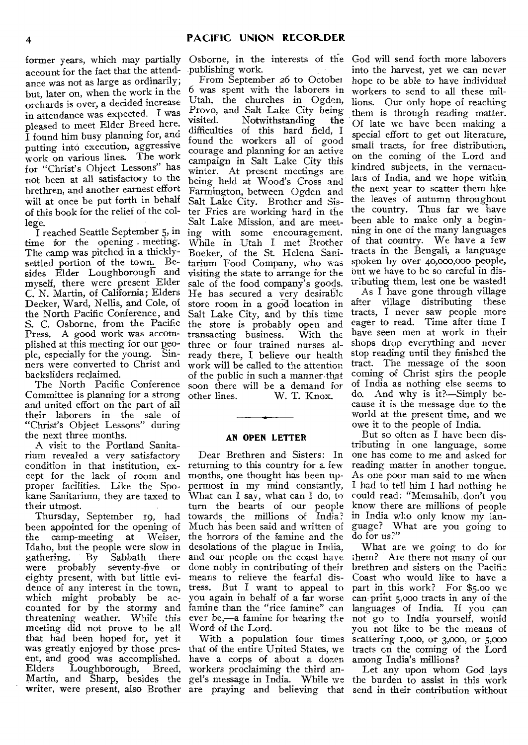former years, which may partially account for the fact that the attendance was not as large as ordinarily; but, later on, when the work in the orchards is over, a decided increase in attendance was expected. I was pleased to meet Elder Breed here. I found him busy planning for, and putting into execution, aggressive work on various lines. The work for "Christ's Object Lessons" has not been at all satisfactory to the brethren, and another earnest effort will at once be put forth in behalf of this book for the relief of the college.

I reached Seattle September 5, in time for the opening meeting. The camp was pitched in a thicklysettled portion of the town. Besides Elder Loughborough and myself, there were present Elder C. N. Martin, of California; Elders Decker, Ward, Nellis, and Cole, of the North Pacific Conference, and S. C. Osborne, from the Pacific Press. A good work was accomplished at this meeting for our people, especially for the young. Sinners were converted to Christ and backsliders reclaimed.

The North Pacific Conference Committee is planning for a strong and united effort on the part of all their laborers in the sale of "Christ's Object Lessons" during the next three months.

A visit to the Portland Sanitarium revealed a very satisfactory condition in that institution, except for the lack of room and proper facilities. Like the Spokane Sanitarium, they are taxed to their utmost.

Thursday, September 19, had been appointed for the opening of<br>the camp-meeting at Weiser, the camp-meeting at Idaho, but the people were slow in gathering. By Sabbath there were probably seventy-five or eighty present, with but little evidence of any interest in the town, which might probably be accounted for by the stormy and threatening weather. While this meeting did not prove to be all that had been hoped for, yet it was greatly enjoyed by those present, and good was accomplished.<br>Elders Loughborough. Breed. Loughborough, Breed, Martin, and Sharp, besides the gel's message in India. While we

Osborne, in the interests of the God will send forth more laborers publishing work.

From September 26 to October 6 was spent with the laborers in Utah, the churches in Ogden, Provo, and Salt Lake City being<br>visited. Notwithstanding the Notwithstanding the difficulties of this hard field, I found the workers all of good courage and planning for an active campaign in Salt Lake City this winter. At present meetings are being held at Wood's Cross and Farmington, between Ogden and Salt Lake City. Brother and Sister Fries are working hard in the Salt Lake Mission, and are meeting with some encouragement. While in Utah I met Brother Boeker, of the St. Helena Sanitarium Food Company, who was visiting the state to arrange for the sale of the food company's goods. He has secured a very desirable store room in a good location in Salt Lake City, and by this time the store is probably open and<br>transacting business. With the transacting business. three or four trained nurses already there, I believe our health work will be called to the attention of the public in such a manner-that soon there will be a demand for other lines. W. T. Knox. W. T. Knox.

#### **AN OPEN LETTER**

Dear Brethren and Sisters: In returning to this country for a few months, one thought has been uppermost in my mind constantly, What can I say, what can I do, to turn the hearts of our people towards the millions of India? Much has been said and written of the horrors of the famine and the desolations of the plague in India, and our people on the coast have done nobly in contributing of their means to relieve the fearful distress. But I want to appeal to you again in behalf of a far worse famine than the "rice famine" can ever be,—a famine for hearing the Word of the Lord.

With a population four times that of the entire United States, we have a corps of about a dozen workers proclaiming the third an-

into the harvest, yet we can never hope to be able to have individual workers to send to all these millions. Our only hope of reaching them is through reading matter. Of late we have been making a special effort to get out literature, small tracts, for free distribution, on the coming of the Lord and kindred subjects, in the vernaculars of India, and we hope within the next year to scatter them like the leaves of autumn throughout the country. Thus fax we have been able to make only a beginning in one of the many languages of that country. We have a few tracts in the Bengali, a language spoken by over 40,000,000 people, but we have to be so careful in distributing them, lest one be wasted!

As I have gone through village after village distributing these tracts, I never saw people more eager to read. Time after time I have seen men at work in their shops drop everything and never stop reading until they finished the tract. The message of the soon coming of Christ stirs the people of India as nothing else seems to do. And why is it?--Simply because it is the message due to the world at the present time, and we owe it to the people of India.

But so often as I have been distributing in one language, some one has come to me and asked for reading matter in another tongue. As one poor man said to me when I had to tell him I had nothing he could read: "Memsahib, don't you know there are millions of people in India who only know my language? What are you going to do for us?"

What are we going to do for them? Are there not many of our brethren and sisters on the Pacific Coast who would like to have a part in this work? For \$5.00 we can print 5,000 tracts in any of the languages of India. If you can not go to India yourself, would you not like to be the means of scattering i,000, or 3,000, or 5,000 tracts on the coming of the Lord among India's millions?

writer, were present, also Brother are praying and believing that send in their contribution without Let any upon whom God lays the burden to assist in this work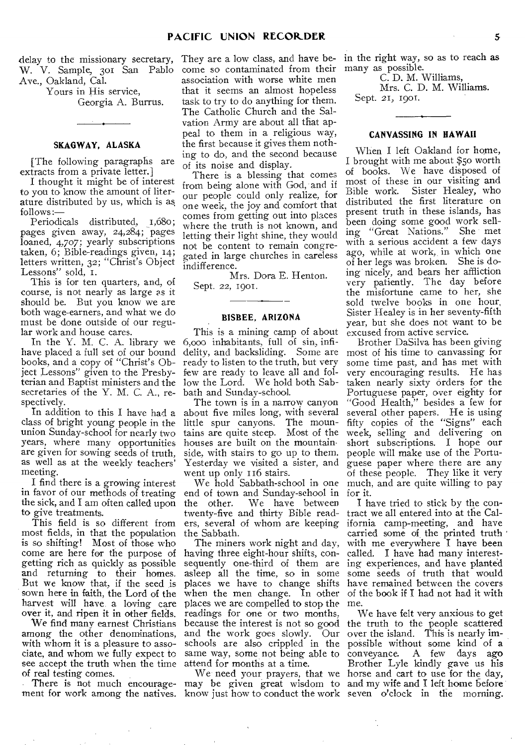delay to the missionary secretary, W. V. Sample, 3o1 San Pablo Ave., Oakland, Cal.

> Yours in His service, Georgia A. Burrus.

# **SKAGWAY, ALASKA**

[The following paragraphs are extracts from a private letter.]

I thought it might be of interest to you to know the amount of literature distributed by us, which is as follows

Periodicals distributed, 1,68o; pages given away, 24,284; pages loaned, 4,707; yearly subscriptions taken, 6; Bible-readings given, 14; letters written, 32; "Christ's Object Lessons" sold, I.

This is for ten quarters, and, of course, is not nearly as large as it should be. But you know we are both wage-earners, and what we do must be done outside of our regular work and house cares.

have placed a full set of our bound books, and a copy of "Christ's Object Lessons" given to the Presbyterian and Baptist ministers and the secretaries of the Y. M. C. A., respectively.

In addition to this I have had a class of bright young people in the union Sunday-school for nearly two years, where many opportunities are given for sowing seeds of truth, as well as at the weekly teachers' meeting.

I find there is a growing interest in favor of our methods of treating the sick, and I am often called upon to give treatments.

This field is so different from most fields, in that the population is so shifting! Most of those who come are here for the purpose of getting rich as quickly as possible and returning to their homes. But we know that, if the seed is sown here in faith, the Lord of the harvest will have a loving care over it, and ripen it in other fields.

We find many earnest Christians among the other denominations, with whom it is a pleasure to associate, and whom we fully expect to see accept the truth when the time of real testing comes.

ment for work among the natives. know just how to conduct the work seven o'clock in the morning.

They are a low class, and have become so contaminated from their association with worse white men that it seems an almost hopeless task to try to do anything for them. The Catholic Church and the Salvation Army are about all that appeal to them in a religious way, the first because it gives them nothing to do, and the second because of its noise and display.

There is a blessing that comes from being alone with God, and if our people could only realize, for one week, the joy and comfort that comes from getting out into places where the truth is not known, and letting their light shine, they would not be content to remain congregated in large churches in careless indifference.

Mrs. Dora E. Henton. Sept. 22, 1901.

### **BISBEE, ARIZONA**

In the Y. M. C. A. library we 6,000 inhabitants, full of sin, infi-This is a mining camp of about delity, and backsliding. Some are ready to listen to the truth, but very few are ready to leave all and follow the Lord. We hold both Sabbath and Sunday-school.

> The town is in a narrow canyon about five miles long, with several little spur canyons. The mountains are quite steep. Most of the houses are built on the mountainside, with stairs to go up to them. Yesterday we visited a sister, and went up only 116 stairs.

end of town and Sunday-school in for it. the other. We have between twenty-five and thirty Bible readthe Sabbath.

The miners work night and day, having three eight-hour shifts, consequently one-third of them are ing experiences, and have planted asleep all the time, so in some places we have to change shifts have remained between the covers when the men change. In other places we are compelled to stop the readings for one or two months, and the work goes slowly. Our schools are also crippled in the same way, some not being able to attend for months at a time.

in the right way, so as to reach as many as possible.

C. D. M. Williams,

Mrs. C. D. M. Williams. Sept. 21, 1901.

# **CANVASSING IN HAWAII**

When I left Oakland for home, I brought with me about \$50 worth of books. We have disposed of most of these in our visiting and<br>Bible work. Sister Healey, who Sister Healey, who distributed the first literature on present truth in these islands, has been doing some good work sell-<br>ing "Great Nations." She met ing "Great Nations." with a serious accident a few days ago, while at work, in which one of her legs was broken. She is doing nicely, and bears her affliction very patiently. The day before the misfortune came to her, she sold twelve books in one hour, Sister Healey is in her seventy-fifth year, but she does not want to be excused from active service.

We hold Sabbath-school in one much, and are quite willing to pay Brother DaSilva has been giving most of his time to canvassing for some time past, and has met with very encouraging results. He has taken nearly sixty orders for the Portuguese paper, over eighty for "Good Health," besides a few for several other papers. He is using fifty copies of the "Signs" each week, selling and delivering on short subscriptions. I hope our people will make use of the Portuguese paper where there are any of these people. They like it very

ers, several of whom are keeping ifornia camp-meeting, and have I have tried to stick by the contract we all entered into at the Calcarried some of the printed truth with me everywhere I have been called. I have had many interestsome seeds of truth that would of the book if I had not had it with me.

There is not much encourage-may be given great wisdom to and my wife and I left home before because the interest is not so good the truth to the people scattered We need your prayers, that we horse and cart to use for the day, We have felt very anxious to get over the island. This is nearly impossible without some kind of a<br>conveyance. A few days ago A few days ago Brother Lyle kindly gave us his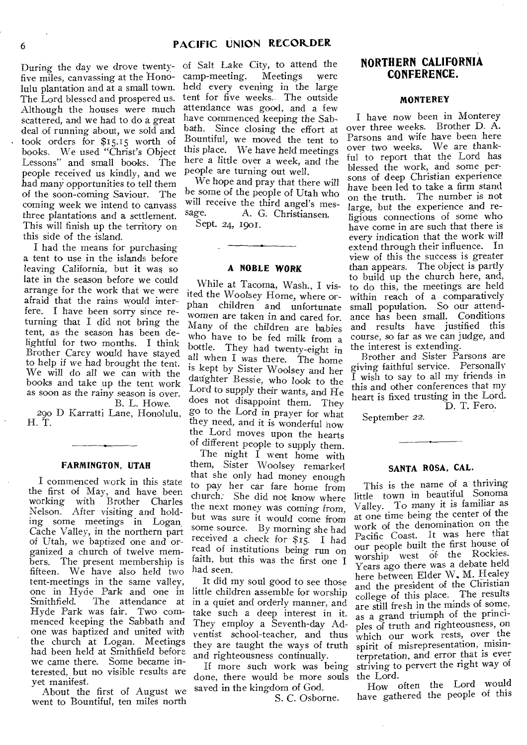five miles, canvassing at the Honolulu plantation and at a small town. The Lord blessed and prospered us. Although the houses were much scattered, and we had to do a great deal of running about, we sold and took orders for \$15.15 worth of books. We used "Christ's Object Lessons" and small books. The people received us kindly, and we had many opportunities to tell them of the soon-corning Saviour. The coming week we intend to canvass three plantations and a settlement. This will finish up the territory on this side of the island.

I had the means for purchasing a tent to use in the islands before leaving California, but it was so late in the season before we could arrange for the work that we were afraid that the rains would interfere. I have been sorry since returning that I did not bring the tent, as the season has been delightful for two months. I think Brother Carey would have stayed to help if we had brought the tent. We will do all we can with the books and take up the tent work as soon as the rainy season is over. B. L. Howe.

290 D Karratti Lane, Honolulu, H. T.

#### **FARMINGTON, UTAH**

I commenced work in this state the first of May, and have been working with Brother Charles Nelson. After visiting and holding some meetings in Logan, Cache Valley, in the northern part of Utah, we baptized one and organized a church of twelve members. The present membership is fifteen. We have also held two tent-meetings in the same valley, one in Hyde Park and one in The attendance at  $% \left\vert \cdot \right\rangle$ Hyde Park was fair. Two commenced keeping the Sabbath and one was baptized and united with the church at Logan. Meetings had been held at Smithfield before we came there. Some became interested, but no visible results are yet manifest.

About the first of August we went to Bountiful, ten miles north

During the day we drove twenty-of Salt Lake City, to attend the camp-meeting. Meetings were held every evening in the large tent for five weeks. The outside attendance was good, and a few have commenced keeping the Sabbath. Since closing the effort at Bountiful, we moved the tent to this place. We have held meetings here a little over a week, and the people are turning out well.

We hope and pray that there will be some of the people of Utah who will receive the third angel's mes-<br>sage. A. G. Christiansen. A. G. Christiansen. Sept. 24, 1901.

#### **A NOBLE WORK**

While at Tacoma, Wash., I visited the Woolsey Home, where orphan children and unfortunate women are taken in and cared for. Many of the children are babies who have to be fed milk from a bottle. They had twenty-eight in all when I was there. The home is kept by Sister Woolsey and her danghter Bessie, who look to the Lord to supply their wants, and He does not disappoint them. They go to the Lord in prayer for what they need, and it is wonderful how the Lord moves upon the hearts of different people to supply them.

The night I went home with them, Sister Woolsey remarked that she only had money enough to pay her car fare home from church: She did not know where the next money was coming from, but was sure it would come from some source. By morning she had received a check for \$15. I had read of institutions being run on faith, but this was the first one I had seen.

It did my soul good to see those little children assemble for worship in a quiet and orderly manner, and take such a deep interest in it. They employ a Seventh-day Adventist school-teacher, and thus they are taught the ways of truth and righteousness continually.

If more such work was being done, there would be more souls saved in the kingdom of God.

S. C. Osborne.

# **NORTHERN CALIFORNIA CONFERENCE.**

#### **MONTEREY**

I have now been in Monterey over three weeks. Brother D. A. Parsons and wife have been here over two weeks. We are thankful to report that the Lord has blessed the work, and some persons of deep Christian experience have been led to take a firm stand on the truth. The number is not large, but the experience and religious connections of some who have come in are such that there is *every* indication that the work will extend through their influence. In view of this the success is greater than appears. The object is partly to build up the church here, and, to do this, the meetings are held within reach of a comparatively small population. So our attendance has been small. Conditions and results have justified this course, so far as we can judge, and the interest is extending.

Brother and Sister Parsons are giving faithful service. Personally I wish to say to all my friends in this and other conferences that my heart is fixed trusting in the Lord. D. T. Fero.

September *22.* 

#### **SANTA ROSA, CAL.**

This is the name of a thriving little town in beautiful Sonoma Valley. To many it is familiar as at one time being the center of the work of the denomination on the Pacific Coast. It was here that our people built the first house of worship west of the Rockies. Years ago there was a debate held here between Elder W. M. Healey and the president of the Christian college of this place. The results are still fresh in the minds of some, as a grand triumph of the principles of truth and righteousness, on which our work rests, over the spirit of misrepresentation, misinterpretation, and error that is ever striving to pervert the right way of the Lord.

How often the Lord would have gathered the people of this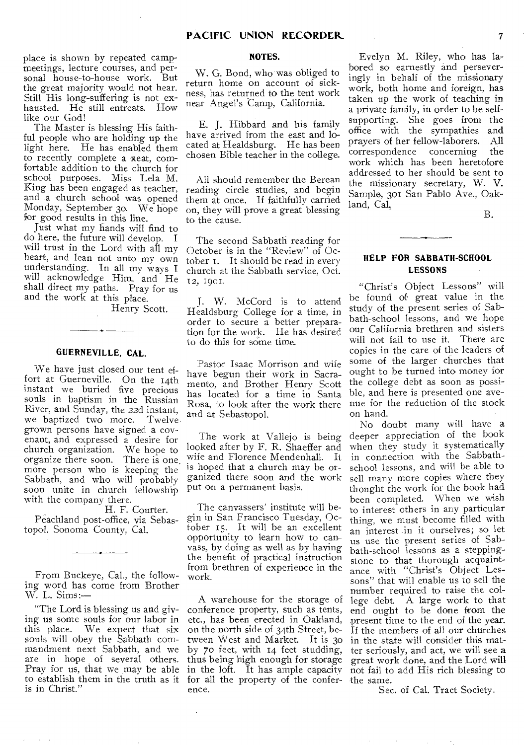place is shown by repeated campmeetings, lecture courses, and personal house-to-house work. But the great majority would not hear. Still His long-suffering is not exhausted. He still entreats. How like our God!

The Master is blessing His faithful people who are holding up the light here. He has enabled them to recently complete a neat, comfortable addition to the church for school purposes. Miss Lela M. King has been engaged as teacher, and a church school was opened Monday, September 3o. We hope for good results in this line.

Just what my hands will find to do here, the future will develop. I will trust in the Lord with all my heart, and lean not unto my own understanding. In all my ways I will acknowledge Him, and He shall direct my paths. Pray for us and the work at this place.

Henry Scott.

#### **GUERNEVILLE, CAL.**

We have just closed our tent effort at Guerneville. On the 14th instant we buried five precious souls in baptism in the Russian River, and Sunday, the 22d instant, we baptized two more. Twelve grown persons have signed a covenant, and expressed a desire for church organization. We hope to organize there soon. There is one. more person who is keeping the Sabbath, and who will probably soon unite in church fellowship with the company there.

H. F. Courter. Peachland post-office, via Sebastopol, Sonoma County, Cal.

From Buckeye, Cal., the following word has come from Brother W. L. Sims:—

"The Lord is blessing us and giving us some souls for our labor in<br>this place. We expect that six We expect that six souls will obey the Sabbath commandment next Sabbath, and we are in hope of several others. Pray for us, that we may be able to establish them in the truth as it for all the property of the conferis in Christ."

#### **NOTES.**

W. G. Bond, who was obliged to return home on account of sickness, has returned to the tent work near Angel's Camp, California.

E. J. Hibbard and his family have arrived from the east and located at Healdsburg. He has been chosen Bible teacher in the college.

All should remember the Berean reading circle studies, and begin them at once. If faithfully carried on, they will prove a great blessing to the cause.

The second Sabbath reading for October is in the "Review" of October 1. It should be read in every church at the Sabbath service, Oct. 12, 1901.

J. W. McCord is to attend Healdsburg College for a time, in order to secure a better preparation for the work. He has desired to do this for some time.

Pastor Isaac Morrison and wife have begun their work in Sacramento, and Brother Henry Scott has located for a time in Santa Rosa, to look after the work there and at Sebastopol.

The work at Vallejo is being looked after by F. R. Shaeffer and wife and Florence Mendenhall. It is hoped that a church may be organized there soon and the work put on a permanent basis.

The canvassers' institute will begin in San Francisco Tuesday, October 15. It will be an excellent opportunity to learn how to canvass, by doing as well as by having the benefit of practical instruction from brethren of experience in the work.

A warehouse for the storage of conference property, such as tents, etc., has been erected in Oakland, on the north side of 34th Street, between West and Market. It is 3o by 70 feet, with 14 feet studding, thus being high enough for storage in the loft. It has ample capacity ence.

Evelyn M. Riley, who has labored so earnestly and perseveringly in behalf of the missionary work, both home and foreign, has taken up the work of teaching in a private family, in order to be selfsupporting. She goes from the office with the sympathies and prayers of her fellow-laborers. All correspondence concerning the work which has been heretofore addressed to her should be sent to the missionary secretary, W. V. Sample, 301 San Pablo Ave., Oakland, Cal,

B.

# **HELP FOR SABBATH-SCHOOL LESSONS**

"Christ's Object Lessons" will be found of great value in the study of the present series of Sabbath-school lessons, and we hope our California brethren and sisters will not fail to use it. There are copies in the care of the leaders of some of the larger churches that ought to be turned into money for the college debt as soon as possible, and here is presented one avenue for the reduction of the stock on hand.

No doubt many will have a deeper appreciation of the book when they study it systematically in connection with the Sabbathschool lessons, and will be able to sell many more copies where they thought the work for the book had been completed. When we wish to interest others in any particular thing, we must become filled with an interest in it ourselves; so let us use the present series of Sabbath-school lessons as a steppingstone to that thorough acquaintance with "Christ's Object Lessons" that will enable us to sell the number required to raise the college debt. A large work to that end ought to be done from the present time to the end of the year. If the members of all our churches in the state will consider this matter seriously, and act, we will see a great work done, and the Lord will not fail to add His rich blessing to the same.

Sec. of Cal. Tract Society.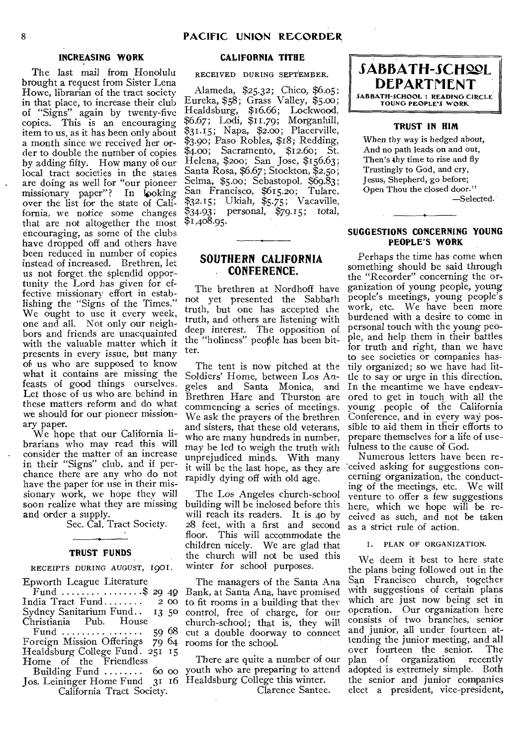# **INCREASING WORK**

The last mail from Honolulu brought a request from Sister Lena Howe, librarian of the tract society in that place, to increase their club of "Signs" again by twenty-five copies. This is an encouraging item to us, as it has been only about a month since we received her order to double the number of copies by adding fifty. How many of our local tract societies in the states are doing as well for "our pioneer missionary paper"? In looking over the list for the state of California, we notice some changes that are not altogether the most encouraging, as some of the clubs have dropped off and others have been reduced in number of copies instead of increased. Brethren, let us not forget. the splendid opportunity the Lord has *given for* effective missionary effort in establishing the "Signs of the Times." We ought to use it every week, one and all. Not only our neighbors and friends are unacquainted with the valuable matter which it presents in every issue, but many of us who are supposed to know what it contains are missing the feasts of good things ourselves. Let those of us who are behind in these matters reform and do what we should for our pioneer missionary paper.

We hope that our California librarians who may read this will consider the matter of an increase in their "Signs" club, and if perchance there are any who do not have the paper for use in their missionary work, we hope they will soon realize what they are missing and order a supply.

Sec. Cal. Tract Society.

#### **TRUST FUNDS**

#### RECEIPTS DURING AUGUST, 1901.

| Epworth League Literature                |
|------------------------------------------|
| Fund \$ 29 49                            |
| India Tract $Find \ldots \ldots$<br>2 00 |
| Sydney Sanitarium Fund 13 50             |
| Christiania Pub. House                   |
|                                          |
| Foreign Mission Offerings 79 64          |
| Healdsburg College Fund. 251 15          |
| Home of the Friendless                   |
| Building Fund $\ldots$ 60 00             |
| Jos. Leininger Home Fund 31 16           |
|                                          |

California Tract Society.

# **CALIFORNIA TITRE**

RECEIVED DURING SEPTEMBER.

Alameda, \$25.32; Chico, \$6.o5; Eureka, \$58; Grass Valley, \$5.00; Healdsburg, \$16.66; Lockwood, \$6.67; Lodi, \$11.79; Morganhill, \$31.15; Napa, \$2.00; Placerville. \$3.90; Paso Robles, \$18; Redding, \$4.00; Sacramento, \$12.60; St. Helena, \$200; San Jose, \$156.63; Santa Rosa, \$6.67; Stockton, \$2.50; Selma, \$5.00; Sebastopol, \$69.83; San Francisco, \$615.20; Tulare, \$32.15; Ukiah, \$5.75; Vacaville, \$34-93; personal, \$79.15; total, \$1,408.95.

# **SOUTHERN CALIFORNIA CONFERENCE.**

The brethren at Nordhoff have not yet presented the Sabbath truth, but one has accepted the truth, and others are listening with deep interest. The opposition of the "holiness" peo\$le has been bitter.

The tent is now pitched at the Soldiers' Home, between Los Angeles and Santa Monica, and Brethren Hare and Thurston are commencing a series of meetings. We ask the prayers of the brethren and sisters, that these old veterans, who are many hundreds in number, may be led to weigh the truth with unprejudiced minds. With many rapidly dying off with old age.

The Los Angeles church-school building will be inclosed before this will reach its readers. It is 4o by 28 feet, with a first and second floor. This will accommodate the children nicely. We are glad that the church will not be used this winter for school purposes.

The managers of the Santa Ana Bank, at Santa Ana, have promised to fit rooms in a building that they control, free of charge, for our church-school; that is, they will cut a double doorway to connect rooms for the school.

There are quite a number of our youth who are preparing to attend Healdsburg College this winter. Clarence Santee.



#### **TRUST IN RIM**

When thy way is hedged about, And no path leads on and out, Then's thy time to rise and fly Trustingly to God, and cry, Jesus, Shepherd, go before; Open Thou the closed door." —Selected.

#### **SUGGESTIONS CONCERNING YOUNG PEOPLE'S WORK**

Perhaps the time has come when something should be said through the "Recorder" concerning the organization of young people, young people's meetings, young people's work, etc. We have been more burdened with a desire to come in personal touch with the young people, and help them in their battles for truth and right, than we have to see societies or companies hastily organized; so we have had little to say or urge in this direction. In the meantime we have endeavored to get in touch with all the young people of the California Conference, and in every way possible to aid them in their efforts to prepare themselves for a life of usefulness to the cause of God.

it will be the last hope, as they are ceived asking for suggestions con-Numerous letters have been recerning organization, the conducting of the meetings, etc. We will venture to offer a few suggestions here, which we hope will be received as such, and not be taken as a strict rule of action.

I. PLAN OF ORGANIZATION.

We deem it best to here state the plans being followed out in the San Francisco church, together with suggestions of certain plans which are just now being set in operation. Our organization here consists of two branches, senior and junior, all under fourteen attending the junior meeting, and all<br>over fourteen the senior. The over fourteen the senior. The<br>plan of organization recently of organization adopted is extremely simple. Both the senior and junior companies elect a president, vice-president,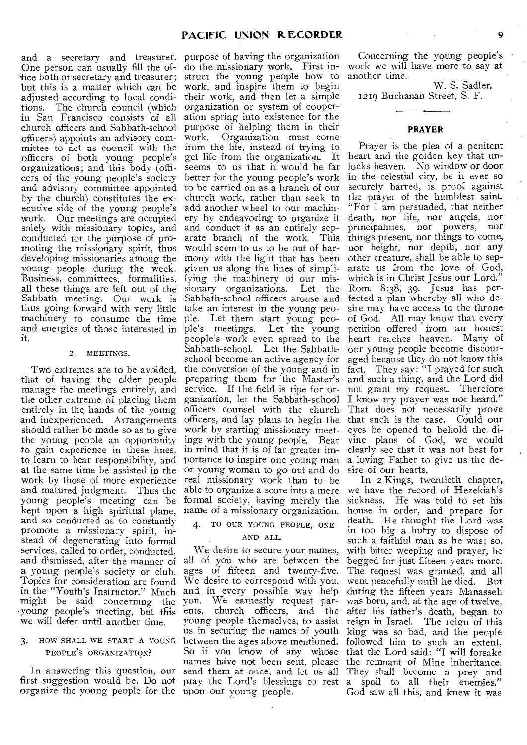and a secretary and treasurer. purpose of having the organization One person can usually fill the of- 'fice both of secretary and treasurer; but this is a matter which can be adjusted according to local conditions. The church council (which in San Francisco consists of all church officers and Sabbath-school officers) appoints an advisory committee to act as council with the officers of both young people's organizations; and this body (officers of the young people's society and advisory committee appointed by the church) constitutes the executive side of the young people's work. Our meetings are occupied solely with missionary topics, and conducted for the purpose of promoting the missionary spirit, thus developing missionaries among the young people during the week. Business, committees, formalities, all these things are left out of the Sabbath meeting. Our work is thus going forward with very little machinery to consume the time and energies of those interested in ple's meetings. Let the young petition offered from an honest it.

#### 2. MEETINGS.

Two extremes are to be avoided, that of having the older people manage the meetings entirely, and the other extreme of placing them entirely in the hands of the young and inexperienced. Arrangements should rather be made so as to give the young people an opportunity to gain experience in these lines, to learn to bear responsibility, and at the same time be assisted in the work by those of more experience and matured judgment. Thus the young people's meeting can be kept upon a high spiritual plane, and so conducted as to constantly promote a missionary spirit, instead of degenerating into formal services, called to order, conducted, and dismissed, after the manner of a young people's society or club. Topics for consideration are found in the "Youth's Instructor." Much might be said concerning the .young people's meeting, but this we will defer until another time.

# 3. HOW SHALL WE START A YOUNG PEOPLE'S ORGANIZATION?

In answering this question, our first suggestion would be, Do not organize the young people for the upon our young people.

do the missionary work. First instruct the young people how to another time. work, and inspire them to begin their work, and then let a simple organization or system of cooperation spring into existence for the purpose of helping them in their Organization must come from the life, instead of trying to get life from the organization. It seems to us that it would be far better for the young people's work to be carried on as a branch of our church work, rather than seek to add another wheel to our machinery by endeavoring to organize it and conduct it as an entirely separate branch of the work. This arate branch of the work. would seem to us to be out of harmony with the light that has been given us along the lines of simplifying the machinery of our missionary organizations. Let the Sabbath-school officers arouse and take an interest in the young people. Let them start young peo-Sabbath-school. Let the Sabbathschool become an active agency for the conversion of the young and in fact. They say: "I prayed for such preparing them for the Master's service. If the field is ripe for organization, let the Sabbath-school officers counsel with the church officers, and lay plans to begin the that such is the case. Could our work by starting missionary meetings with the young people. Bear in mind that it is of far greater importance to inspire one young man Or young woman to go out and do real missionary work than to be able to organize a score into a mere formal society, having merely the name of a missionary organization.

# 4. TO OUR YOUNG PEOPLE, ONE

# AND ALL.

We desire to secure your names, all of you who are between the ages of fifteen and twenty-five. We desire to correspond with you, and in every possible way help you. We earnestly request parents, church officers, and the young people themselves, to assist us in securing the names of youth between the ages above mentioned. So if you know of any whose names have not been sent, please send them at once, and let us all

Concerning the young people's work we will have more to say at

W. S. Sadler. 1219 Buchanan Street, S. F.

#### **PRAYER**

people's work even spread to the heart reaches heaven. Many of Prayer is the plea of a penitent heart and the golden key that unlocks heaven. No window or door in the celestial city, be it ever so securely barred, is proof against the prayer of the humblest saint. "For I am persuaded, that neither death, nor life, nor angels, nor principalities, nor powers, nor things present, nor things to come, nor height, nor depth, nor any other creature, shall be able to separate us from the love of God, which is in Christ Jesus our Lord." Rom. 8:38, 39. Jesus has perfected a plan whereby all who desire may have access to the throne of God. All may know that every our young people become discouraged because they do not know this and such a thing, and the Lord did not grant my request. Therefore I know my prayer was not heard." That does not necessarily prove eyes he opened to behold the divine plans of God, we would clearly see that it was not best for a loving Father to give us the desire of our hearts.

pray the Lord's blessings to rest a spoil to all their enemies." In 2 Kings, twentieth chapter, we have the record of Hezekiah's sickness. He was told to set his house in order, and prepare for death. He thought the Lord was in too big a hurry to dispose of such a faithful man as he was; so, with bitter weeping and prayer, he begged for just fifteen years more. The request was granted, and all went peacefully until he died. But during the fifteen years Manasseh was born, and, at the age of twelve, after his father's death, began **to**  reign in Israel. The reign of this king was so bad, and the people followed him to such an extent, that the Lord said: "I will forsake the remnant of Mine inheritance. They shall become a prey and God saw all this, and knew it was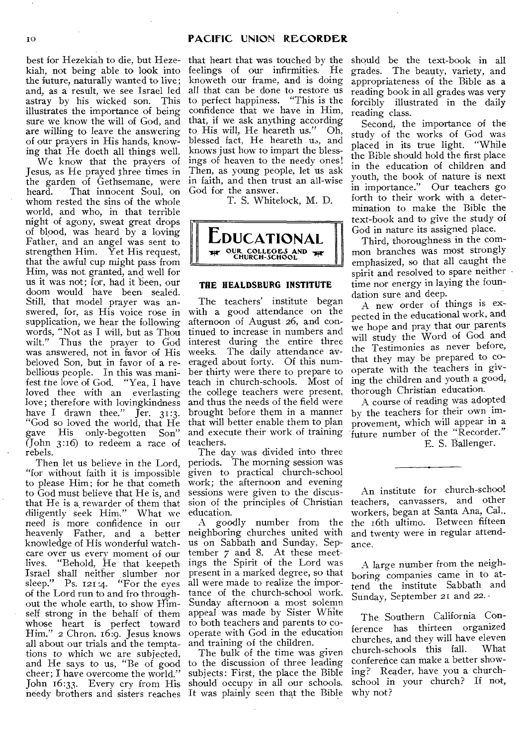best for Hezekiah to die, but Heze-that heart that was touched by the should be the text-book in all kiah, not being able to look into the future, naturally wanted to live; and, as a result, we see Israel led astray by his wicked son. This illustrates the importance of being sure we know the will of God, and are willing to leave the answering of our prayers in His hands, knowing that He doeth all things well.

We know that the prayers of Jesus, as He prayed three times in the garden of Gethsemane, were heard. That innocent Soul, on whom rested the sins of the whole world, and who, in that terrible night of agony, sweat great drops of blood, was heard by a loving Father, and an angel was sent to strengthen Him. Yet His request, that the awful cup might pass from Him, was not granted, and well for us it was not; for, had it been, our doom would have been sealed. Still, that model prayer was answered, for, as His voice rose in supplication, we hear the following words, "Not as I will, but as Thou wilt." Thus the prayer to God was answered, not in favor of His beloved Son, but in favor of a rebellious people. In this was manifest the love of God. "Yea, I have loved thee with an everlasting love ; therefore with lovingkindness have I drawn thee." Jer. 31:3. "God so loved the world, that He gave His only-begotten Son" (John  $3:16$ ) to redeem a race of rebels.

Then let us believe in the Lord, "for without faith it is impossible to please Him; for he that cometh to God must believe that He is, and that He is a rewarder of them that diligently seek Him." What we need is more confidence in our heavenly Father, and a better knowledge of His wonderful watchcare over us every moment of our<br>lives. "Behold, He that keepeth "Behold, He that keepeth Israel shall neither slumber nor sleep." Ps. 121:4. "For the eyes of the Lord run to and fro throughout the whole earth, to show Himself strong in the behalf of them whose heart is perfect toward Him." 2 Chron. 16:9. Jesus knows all about our trials and the temptations to which we are subjected, and He says to us, "Be of good cheer; I have overcome the world." John 16:33. Every cry from His needy brothers and sisters reaches It was plainly seen that the Bible

feelings of our infirmities. He knoweth our frame, and is doing all that can be done to restore us to perfect happiness. "This is the confidence that we have in Him, that, if we ask anything according to His will, He heareth us." Oh, blessed fact, He heareth us, and knows just how to impart the blessings of heaven to the needy ones! Then, as young people, let us ask in faith, and then trust an all-wise God for the answer.

T. S. Whitelock, M. D.



# **THE HEALDSBURG INSTITUTE**

The teachers' institute began with a good attendance on the afternoon of August 26, and continued to increase in numbers and interest during the entire three weeks. The daily attendance averaged about forty. Of this number thirty were there to prepare to teach in church-schools. Most of the college teachers were present, and thus the needs of the field were brought before them in a manner that will better enable them to plan and execute their work of training teachers.

The day was divided into three periods. The morning session was given to practical church-school work; the afternoon and evening sessions were given to the discussion of the principles of Christian education.

A goodly number from the neighboring churches united with us on Sabbath and Sunday, September 7 and 8. At these meetings the Spirit of the Lord was present in a marked degree, so that all were made to realize the importance of the church-school work. Sunday afternoon a most solemn appeal was made by Sister White to both teachers and parents to cooperate with God in the education and training of the children.

The bulk of the time was given to the discussion of three leading subjects: First, the place the Bible should occupy in all our schools.

grades. The beauty, variety, and appropriateness of the Bible as a reading book in all grades was very forcibly illustrated in the daily reading class.

Second, the importance of the study of the works of God was placed in its true light. "While the Bible should hold the first place in the education of children and youth, the book of nature is next in importance." Our teachers go forth to their work with a determination to make the Bible the text-book and to give the study of God in nature its assigned place.

Third, thoroughness in the common branches was most strongly emphasized, so that all caught the spirit and resolved to spare neither time nor energy in laying the foundation sure and deep.

A new order of things is expected in the educational work, and we hope and pray that our parents will study the Word of God and the Testimonies as never before, that they may be prepared to cooperate with the teachers in giving the children and youth a good, thorough Christian education.

A course of reading was adopted by the teachers for their own improvement, which will appear in a future number of the "Recorder." E. S. Ballenger.

An institute for church-school teachers, canvassers, and other workers, began at Santa Ana, Cal., the 16th ultimo. Between fifteen and twenty were in regular attendance.

A large number from the neighboring companies came in to attend the institute Sabbath and Sunday, September 21 and 22. -

The Southern California Conference has thirteen organized churches, and they will have eleven church-schools this fall. conference can make a better showing? Reader, have you a churchschool in your church? If not, why not?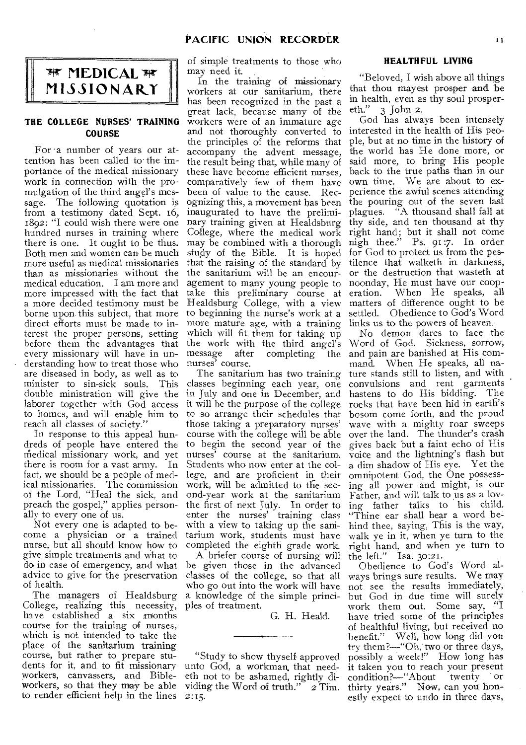

# **THE COLLEGE NURSES' TRAINING COURSE**

For a number of years our attention has been called to the importance of the medical missionary work in connection with the promulgation of the third angel's message. The following quotation is from a testimony dated Sept. 16, 1892: "I could wish there were one hundred nurses in training where there is one. It ought to be thus. Both men and women can be much more useful as medical missionaries than as missionaries without the medical education. I am more and more impressed with the fact that a more decided testimony must be borne upon this subject, that more direct efforts must be made to interest the proper persons, setting before them the advantages that every missionary will have in understanding how to treat those who nurses' course. are diseased in body, as well as to minister to sin-sick souls. This double ministration will give the in July and one in December, and laborer together with God access to homes, and will enable him to to so arrange their schedules that reach all classes of society."

In response to this appeal hundreds of people have entered the medical missionary work, and yet nurses' course at the sanitarium. there is room for a vast army. In fact, we should be a people of medical missionaries. The commission of the Lord, "Heal the sick, and preach the gospel," applies personally to every one of us.

Not every one is adapted to become a physician or a trained nurse, but all should know how to give simple treatments and what to do in case of emergency, and what advice to give for the preservation of health.

The managers of Healdsburg College, realizing this necessity,  $h$ ave established a six months course for the training of nurses, which is not intended to take the place of the sanitarium training course, but rather to prepare students for it, and to fit missionary workers, canvassers, and Bibleworkers, so that they may be able to render efficient help in the lines

of simple treatments to those who may need it.

In the training of missionary workers at cur sanitarium, there has been recognized in the past a great lack, because many of the workers were of an immature age and not thoroughly converted to the principles of the reforms that accompany the advent message, the result being that, while many of these have become efficient nurses, comparatively few of them have been of value to the cause. Recognizing this, a movement has been inaugurated to have the preliminary training given at Healdsburg College, where the medical work may be combined with a thorough study of the Bible. It is hoped that the raising of the standard by the sanitarium will be an encouragement to many young people to take this preliminary course at Healdsburg College, with a view to beginning the nurse's work at a more mature age, with a training which will fit them for taking up the work with the third angel's<br>message after completing the completing the

The sanitarium has two training classes beginning each year, one it will be the purpose of the college those taking a preparatory nurses' course with the college will be able to begin the second year of the Students who now enter at the college, and are proficient in their work, will be admitted to the second-year work at the sanitarium the first of next July. In order to enter the nurses' training class with a view to taking up the sanitarium work, students must have completed the eighth grade work.

A briefer course of nursing will he given those in the advanced classes of the college, so that all who go out into the work will have a knowledge of the simple principles of treatment.

G. H. Heald.

"Study to show thyself approved unto God, a workman, that needeth not to be ashamed, rightly dividing the Word of truth." *2* Tim. 2:15.

# **HEALTHFUL LIVING**

"Beloved, I wish above all things that thou mayest prosper and be in health, even as thy soul prospereth." 3 John 2.

God has always been intensely interested in the health of His people, but at no time in the history of the world has He done more, or said more, to bring His people back to the true paths than in our own time. We are about to experience the awful scenes attending the pouring out of the seven last plagues. "A thousand shall fall at thy side, and ten thousand at thy right hand; but it shall not come nigh thee." Ps. 91:7. In order for God to protect us from the pestilence that walketh in darkness, or the destruction that wasteth at noonday, He must have our cooperation. When He speaks, all matters of difference ought to be settled. Obedience to God's Word links us to the powers of heaven.

No demon dares to face the Word of God. Sickness, sorrow; and pain are banished at His command. When He speaks, all nature stands still to listen, and with convulsions and rent garments hastens to do His bidding. The rocks that have been hid in earth's bosom come forth, and the proud wave with a mighty roar sweeps over the land. The thunder's crash gives back but a faint echo of His voice and the lightning's flash but a dim shadow of His eye. Yet the omnipotent God, the One possessing all power and might, is our Father, and will talk to us as a loving father talks to his child. "Thine ear shall hear a word behind thee, saying, This is the way, walk ye in it, when ye turn to the right hand, and when ye turn to the left." Isa. 30:21.

Obedience to God's Word always brings sure results. We may not see the results immediately, but God in due time will surely work them out. Some say, "I have tried some of the principles of healthful living, but received no benefit." Well, how long did you try them?-"Oh, two or three days, possibly a week!" How long has it taken you to reach your present condition?--"About twenty or thirty years." Now, can you honestly expect to undo in three days,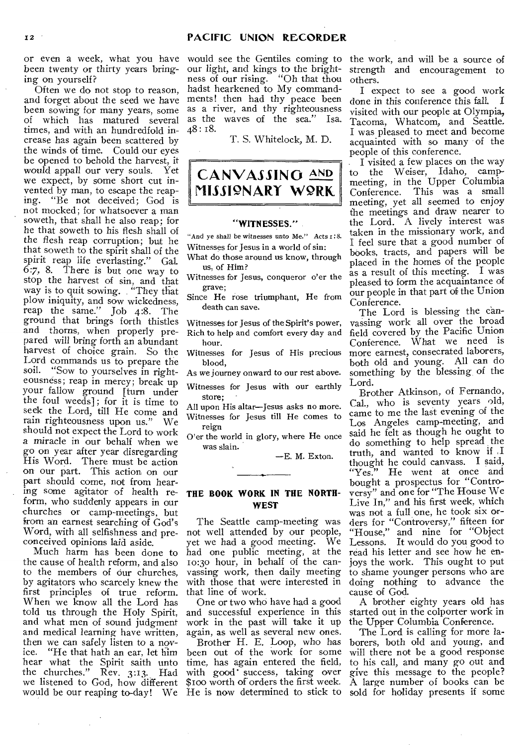or even a week, what you have been twenty or thirty years bringing on yourself?

Often we do not stop to reason, and forget about the seed we have been sowing for many years, some of which has matured several times, and with an hundredfold increase has again been scattered by the winds of time. Could our eyes be opened to behold the harvest, it would appall our very souls. Yet we expect, by some short cut invented by man, to escape the reap-<br>ing. "Be not deceived; God is "Be not deceived; God is not mocked; for whatsoever a man soweth, that shall he also reap; for he that soweth to his flesh shall of the flesh reap corruption; but he that soweth to the spirit shall of the spirit reap life everlasting." Gal. 6:7, 8. There is but one way to stop the harvest of sin, and that way is to quit sowing. "They that plow iniquity, and sow wickedness, reap the same." Job 4:8. The ground that brings forth thistles and thorns, when properly prepared will bring forth an abundant harvest of choice grain. So the Lord commands us to prepare the<br>soil. "Sow to yourselves in right-"Sow to yourselves in righteousness; reap in mercy; break up your fallow ground [turn under the foul weeds]; for it is time to seek the Lord, till He come and rain righteousness upon us." We should not expect the Lord to work a miracle in our behalf when we go on year after year disregarding His Word. There must be action on our part. This action on our part should come, not from hearing some agitator of health reform, who suddenly appears in our churches or camp-meetings, but from an earnest searching of God's Word, with all selfishness and pre-not well attended by our people, conceived opinions laid aside.

Much harm has been done to the cause of health reform, and also to the members of our churches, by agitators who scarcely knew the first principles of true reform. When we know all the Lord has told us through the Holy Spirit, and what men of sound judgment and medical learning have written, then we can safely listen to a nov-<br>ice. "He that hath an ear, let him "He that hath an ear, let him hear what the Spirit saith unto<br>the churches." Rev. 3:13. Had Rev.  $3:13.$  Had we listened to God, how different

would see the Gentiles coming to the work, and will be a source of our light, and kings to the brightness of our rising. "Oh that thou hadst hearkened to My commandments! then had thy peace been as a river, and thy righteousness as the waves of the sea." Isa. 48: 18.

T. S. Whitelock, M. D.

# **CANVASSING AND MISSIONARY WORK**

#### **"WITNESSES."**

"And ye shall be witnesses unto Me." Acts I:8. Witnesses for Jesus in a world of sin:

What do those around us know, through us, of Him?

Witnesses for Jesus, conqueror o'er the grave;

Since He rose triumphant, He from death can save.

Witnesses for Jesus of the Spirit's power, Rich to help and comfort every day and hour.

Witnesses for Jesus of His precious blood,

As we journey onward to our rest above.

Witnesses for Jesus with our earthly store;

All upon His altar—Jesus asks no more. Witnesses for Jesus till He comes to reign

O'er the world in glory, where He once was slain.

—E. M. Exton.

# **THE BOOK WORK IN THE NORTH-WEST**

The Seattle camp-meeting was yet we had a good meeting. We had one public meeting, at the io:3o hour, in behalf of the canvassing work, then daily meeting with those that were interested in that line of work.

One or two who have had a good and successful experience in this work in the past will take it up again, as well as several new ones.

Brother H. E. Loop, who has been out of the work for some time, has again entered the field, with good' success, taking over \$too worth of orders the first week.

strength and encouragement to others.

I expect to see a good work done in this conference this fall. I visited with our people at Olympia, Tacoma, Whatcom, and Seattle. I was pleased to meet and become acquainted with so many of the people of this conference.

I visited a few places on the way to the Weiser, Idaho, campmeeting, in the Upper Columbia<br>Conference. This was a small This was a small meeting, yet all seemed to enjoy the meetings and draw nearer to the Lord. A lively interest was taken in the missionary work, and I feel sure that a good number of books, tracts, and papers will be placed in the homes of the people as a result of this meeting. I was pleased to form the acquaintance of our people in that part of the Union Conference.

The Lord is blessing the canvassing work all over the broad field covered by the Pacific Union Conference. What we need is more earnest, consecrated laborers, both old and young. All can do something by the blessing of the Lord.

Brother Atkinson, of Fernando, Cal., who is seventy years old, came to me the last evening of the Los Angeles camp-meeting, and said he felt as though he ought to do something to help spread the truth, and wanted to know if I thought he could canvass. I said, "Yes." He went at once and bought a prospectus for "Controversy' and one for "The House We Live In," and his first week, which was not a full one, he took six orders for "Controversy," fifteen for "House," and nine for "Object Lessons. It would do you good to read his letter and see how he enjoys the work. This ought to put to shame younger persons who are doing nothing to advance the cause of God.

A brother eighty years old has started out in the colporter work in the Upper Columbia Conference.

would be our reaping to-day! We He is now determined to stick to sold for holiday presents if some The Lord is calling for more laborers, both old and young, and will there not be a good response to his call, and many go out and give this message to the people? A large number of books can be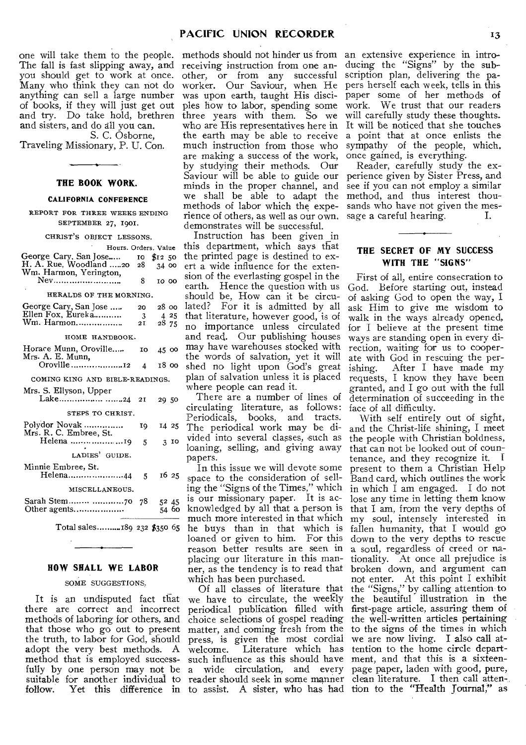one will take them to the people. The fall is fast slipping away, and you should get to work at once. Many who think they can not do anything can sell a large number of books, if they will just get out and try. Do take hold, brethren and sisters, and do all you can. S. C. Osborne,

Traveling Missionary, P. U. Con.

#### **THE BOOK WORK.**

#### **CALIFORNIA CONFERENCE**

REPORT FOR THREE WEEKS ENDING SEPTEMBER 27, 1901.

#### CHRIST'S OBJECT LESSONS.

| Hours. Orders. Value            |    |                                 |  |
|---------------------------------|----|---------------------------------|--|
| George Cary, San Jose           |    | $10 \, \text{S}12 \, \text{S}0$ |  |
| H. A. Rue, Woodland 20 28       |    | 34.00                           |  |
| Wm. Harmon, Yerington,          |    |                                 |  |
| Nev                             | 8  | 10 00                           |  |
| HERALDS OF THE MORNING.         |    |                                 |  |
| George Cary, San Jose           | 20 | 28 00                           |  |
| Ellen Fox, Eureka               | -3 | 4 25                            |  |
| Wm. Harmon                      | 21 | 28 75                           |  |
| HOME HANDBOOK.                  |    |                                 |  |
| Horace Munn, Oroville           | 10 | 45 00                           |  |
| Mrs. A. E. Munn,                |    |                                 |  |
| Oroville12                      | 4  | 18 oo                           |  |
| COMING KING AND BIBLE-READINGS. |    |                                 |  |
| Mrs. S. Ellyson, Upper          |    |                                 |  |
| Lake <i>24</i>                  | 2I | 29 50                           |  |
| STEPS TO CHRIST.                |    |                                 |  |
| Polydor Novak                   | Ι9 | 14 25                           |  |
| Mrs. R. C. Embree, St.          |    |                                 |  |
| Helena 19                       | 5  | $3$ IO                          |  |
| LADIES' GUIDE.                  |    |                                 |  |
| Minnie Embree, St.              |    |                                 |  |
| Helena44 5                      |    | 16 25                           |  |
| MISCELLANEOUS.                  |    |                                 |  |
|                                 | 78 | 5245                            |  |
| Other agents                    |    | 54 60                           |  |
|                                 |    |                                 |  |

Total sales.........189 232 \$350 65

#### **HOW SHALL WE LABOR**

# SOME SUGGESTIONS.

It is an undisputed fact that there are correct and incorrect methods of laboring for others, and that those who go out to present the truth, to labor for God, should adopt the very best methods. A method that is employed success-

methods should not hinder us from receiving instruction from one another, or from any successful worker. Our Saviour, when He was upon earth, taught His disciples how to labor, spending some three years with them. So we the earth may be able to receive much instruction from those who are making a success of the work, by studying their methods. Our Saviour will be able to guide our minds in the proper channel, and we shall be able to adapt the methods of labor which the experience of others, as well as our own. demonstrates will be successful.

Instruction has been given \_in this department, which says that the printed page is destined to exert a wide influence for the extension of the everlasting gospel in the earth. Hence the question with us should be, How can it be circulated? For it is admitted by all that literature, however good, is of no importance unless circulated and read. Our publishing houses may have warehouses stocked with the words of salvation, yet it will shed no light upon God's great plan of salvation unless it is placed where people can read it.

There are a number of lines of circulating literature, as follows: Periodicals, books, and tracts. The periodical work may be divided into several classes, such as loaning, selling, and giving away papers.

In this issue we will devote some space to the consideration of selling the "Signs of the Times," which is our missionary paper. It is acknowledged by all that a person is much more interested in that which he buys than in that which is loaned or given to him. For this reason better results are seen in placing our literature in this manner, as the tendency is to read that which has been purchased.

fully by one person may not be a wide circulation, and every suitable for another individual to reader should seek in some manner follow. Yet this difference in to assist. A sister, who has had tion to the "Health Journal," as Of all classes of literature that we have to circulate, the weekly periodical publication filled with choice selections of gospel reading matter, and coming fresh from the press, is given the most cordial welcome. Literature which has Literature which has such influence as this should have

who are His representatives here in It will be noticed that she touches an extensive experience in introducing the "Signs" by the subscription plan, delivering the papers herself each week, tells in this paper some of her methods of work. We trust that our readers will carefully study these thoughts. a point that at once enlists the sympathy of the people, which, once gained, is everything.

> Reader, carefully study the experience given by Sister Press, and see if you can not employ a similar method, and thus interest thousands who have not given the message a careful hearing. I.

# **THE SECRET OF MY SUCCESS WITH THE "SIGNS"**

First of all, entire consecration to God. Before starting out, instead of asking God to open the way, I ask Him to give me wisdom to walk in the ways already opened, for I believe at the present time ways are standing open in every direction, waiting for us to cooperate with God in rescuing the perishing. After I have made my requests, I know they have been granted, and I go out with the full determination of succeeding in the face of all difficulty.

With self entirely out of sight, and the Christ-life shining, I meet the people with Christian boldness, that can not be looked out of countenance, and they recognize it. f present to them a Christian Help Band card, which outlines the work in which I am engaged. I do not lose any time in letting them know that I am, from the very depths of my soul, intensely interested in fallen humanity, that I would go down to the very depths to rescue a soul, regardless of creed or nationality. At once all prejudice is broken down, and argument can not enter. At this point I exhibit the "Signs," by calling attention to the beautiful illustration in the first-page article, assuring them of the well-written articles pertaining to the signs of the times in which we are now living. I also call attention to the home circle department, and that this is a sixteenpage paper, laden with good, pure, clean literature. I then call atten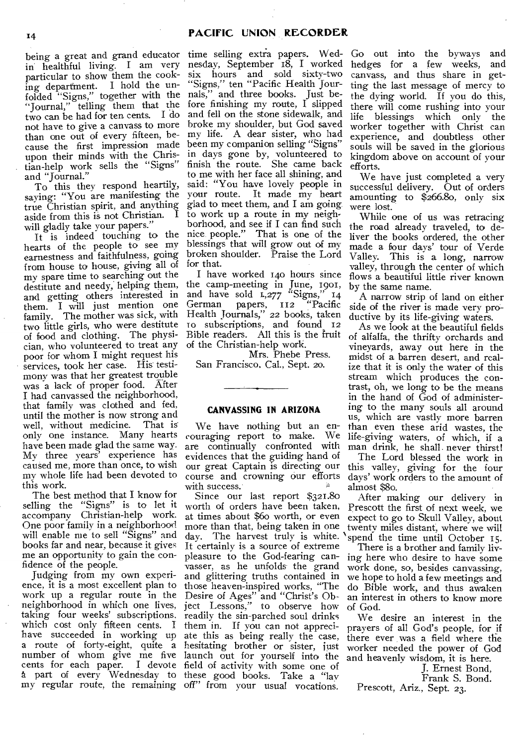being a great and grand educator in healthful living. I am very particular to show them the cooking department. I hold the unfolded "Signs," together with the "Journal," telling them that the two can be had for ten cents. I do not have to give a canvass to more than one out of every fifteen, because the first impression made upon their minds with the Christian-help work sells the "Signs" and "Journal."

To this they respond heartily, saying: "You are manifesting the true Christian spirit, and anything aside from this is not Christian. I will gladly take your papers."

It is indeed touching to the hearts of the people to see my earnestness and faithfulness, going from house to house, giving all of for that. my spare time to searching out the destitute and needy, helping them, and getting others interested in them. I will just mention one family. The mother was sick, with two little girls, who were destitute of food and clothing. The physician, who volunteered to treat any poor for whom I might request his services, took her case. His testimony was that her greatest trouble was a lack of proper food. After I had canvassed the neighborhood, that family was clothed and fed, until the mother is now strong and<br>well. without medicine. That is well, without medicine. only one instance. Many hearts have been made glad the same way. My three years' experience has caused me, more than once, to wish my whole life had been devoted to this work.

The best method that I know for selling the "Signs" is to let it accompany Christian-help work. One poor family in a neighborhood will enable me to sell "Signs" and books far and near, because it gives me an opportunity to gain the confidence of the people.

Judging from my own experience, it is a most excellent plan to work up a regular route in the neighborhood in which one lives, taking four weeks' subscriptions, which cost only fifteen cents. I have succeeded in working up a route of forty-eight, quite a number of whom give me five cents for each paper. I devote a part of every Wednesday to these good books. Take a "lay

time selling extra papers. Wed-Go out into the byways and nesday, September 18, I worked six hours and sold sixty-two "Signs," ten "Pacific Health Journals," and three books. Just before finishing my route, I slipped and fell on the stone sidewalk, and broke my shoulder, but God saved my life. A dear sister, who had been my companion selling "Signs" in days gone by, volunteered to finish the route. She came back to me with her face all shining, and said: "You have lovely people in your route. It made my heart glad to meet them, and I am going to work up a route in my neighborhood, and see if I can find such nice people." That is one of the blessings that will grow out of my broken shoulder. Praise the Lord

I have worked 140 hours since the camp-meeting in June, 1901, and have sold  $L,277$  "Signs,"  $14$ German papers, 112 "Pacific Health Journals," 22 books, taken<br>to subscriptions, and found 12 subscriptions, and found 12 Bible readers. All this is the fruit of the Christian-help work.

Mrs. Phebe Press. San Francisco. Cal., Sept. 20.

#### **CANVASSING IN ARIZONA**

We have nothing but an encouraging report to make. are continually confronted with evidences that the guiding hand of our great Captain is directing our course and crowning our efforts with success.

my regular route, the remaining off" from your usual vocations. Since our last report \$321.80 worth of orders have been taken, at times about \$6o worth, or even more than that, being taken in one day. The harvest truly is white. 'spend the time until October 15. It certainly is a source of extreme pleasure to the God-fearing canvasser, as he unfolds the grand and glittering truths contained in those heaven-inspired works, "The Desire of Ages" and "Christ's Object Lessons," to observe how readily the sin-parched soul drinks them in. If you can not appreciate this as being really the case, hesitating brother or sister, just launch out for yourself into the field of activity with some one of

hedges for a few weeks, and canvass, and thus share in getting the last message of mercy to the dying world. If you do this, there will come rushing into your life blessings which only the worker together with Christ can experience, and doubtless other souls will be saved in the glorious kingdom above on account of your efforts.

We have just completed a very successful delivery. Out of orders amounting to \$266.80, only six were lost.

While one of us was retracing the road already traveled, to deliver the books ordered, the other made a four days' tour of Verde Valley. This is a long, narrow valley, through the center of which flows a beautiful little river known by the same name.

A narrow strip of land on either side of the river is made very productive by its life-giving waters.

As we look at the beautiful fields of alfalfa, the thrifty orchards and vineyards, away out here in the midst of a barren desert, and realize that it is only the water of this stream which produces the contrast, oh, we long to be the means in the hand of God of administering to the many souls all around us, which are vastly more barren than even these arid wastes, the life-giving waters, of which, if a man drink, he shall. never thirst!

The Lord blessed the work in this valley, giving for the four days' work orders to the amount of almost \$80.

After making our delivery in Prescott the first of next week, we expect to go to Skull Valley, about twenty miles distant, where we will

There is a brother and family living here who desire to have some work done, so, besides canvassing, we hope to hold a few meetings and do Bible work, and thus awaken an interest in others to know more of God.

We desire an interest in the prayers of all God's people, for if there ever was a field where the worker needed the power of God and heavenly wisdom, it is here.

J. Ernest Bond,

Frank S. Bond.

Prescott, Ariz., Sept. 23.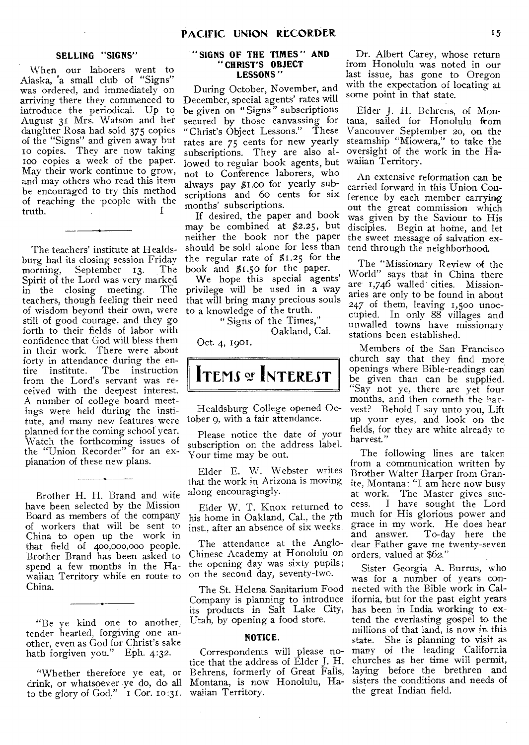# **SELLING "SIGNS"**

When our laborers went to Alaska, 'a small club of "Signs" was ordered, and immediately on arriving there they commenced to introduce the periodical. Up to August 31 Mrs. Watson and her daughter Rosa had sold 375 copies of the "Signs" and given away but 10 copies. They are now taking ioo copies a week of the paper. May their work continue to grow, and may others who read this item be encouraged to try this method of reaching the people with the truth.

The teachers' institute at Healdsburg had its closing session Friday<br>morning, September 13. The September 13. Spirit of the Lord was very marked<br>in the closing meeting. The in the closing meeting. teachers, though feeling their need of wisdom beyond their own, were still of good courage, and they go forth to their fields of labor with confidence that God will bless them in their work. There were about forty in attendance during the en-<br>tire institute. The instruction The instruction from the Lord's servant was received with the deepest interest. A number of college hoard meetings were held during the institute, and many new features were planned for the coming school year. Watch the forthcoming issues of the "Union Recorder" for an explanation of these new plans.

Brother H. H. Brand and wife have been selected by the Mission Board as members of the company of workers that will be sent to China to open up the work in that field of 400,000,000 people. Brother Brand has been asked to spend a few months in the Hawaiian Territory while en route to China.

"Be ye kind one to another; tender hearted, forgiving one another, even as God for Christ's sake hath forgiven you." Eph. 4:32.

 $+$   $-$ 

"Whether therefore ye eat, or drink, or whatsoever ye do, do all to the glory of God." I Cor. 10:31.

#### **" SIGNS OF THE TIMES " AND "CHRIST'S OBJECT LESSONS "**

During October, November, and December, special agents' rates will be given on "Signs" subscriptions secured by those canvassing for "Christ's Object Lessons." These rates are 75 cents for new yearly subscriptions. They are also allowed to regular book agents, but not to Conference laborers, who always pay \$1.00 for yearly subscriptions and 60 cents for six months' subscriptions.

If desired, the paper and book may be combined at \$2.25, but neither the book nor the paper should be sold alone for less than the regular rate of  $$1.25$  for the book and \$1.50 for the paper.

We hope this special agents' privilege will be used in a way that will bring many precious souls to a knowledge of the truth.

> " Signs of the Times," Oakland, Cal.

Oct. 4, 1901.



Healdsburg College opened October 9, with a fair attendance.

Please notice the date of your subscription on the address label. Your time may be out.

Elder E. W. Webster writes that the work in Arizona is moving along encouragingly.

Elder W. T. Knox returned to his home in Oakland, Cal., the 7th inst., after an absence of six weeks.

The attendance at the Anglo-Chinese Academy at Honolulu on the opening day was sixty pupils; on the second day, seventy-two.

The St. Helena Sanitarium Food Company is planning to introduce its products in Salt Lake City, Utah, by opening a food store.

# NOTICE.

Correspondents will please notice that the address of Elder J. H. Behrens, formerly of Great Falls, Montana, is now Honolulu, Hawaiian Territory.

Dr. Albert Carey, whose return from Honolulu was noted in our last issue, has gone to Oregon with the expectation of locating at some point in that state.

Elder J. H. Behrens, of Montana, sailed for Honolulu from Vancouver September 20, on the steamship "Miowera," to take the oversight of the work in the Hawaiian Territory.

An extensive reformation can be carried forward in this Union Conference by each member carrying out the great commission which was given by the Saviour to His disciples. Begin at home, and let the sweet message of salvation extend through the neighborhood.

The "Missionary Review of the World" says that in China there are 1,746 walled cities. Missionaries are only to be found in about 247 of them, leaving 1,50o unoccupied. In only 88 villages and unwalled towns have missionary stations been established.

Members of the San Francisco church say that they find more openings where Bible-readings can be given than can be supplied. "Say not ye, there are yet four months, and then cometh the harvest? Behold I say unto you, Lift up your eyes, and look on the fields, for they are white already to harvest."

The following lines are taken from a communication written by Brother Walter Harper from Granite, Montana: "I am here now busy at work. The Master gives success. I have sought the Lord much for His glorious power and grace in my work. He does hear<br>and answer. To-day here the To-day here the dear Father gave me twenty-seven orders, valued at \$62."

Sister Georgia A. Burrus, who was for a number of years connected with the Bible work in California, but for the past eight years has been in India working to extend the everlasting gospel to the millions of that land, is now in this state. She is planning to visit as many of the leading California churches as her time will permit, laying before the brethren and sisters the conditions and needs of the great Indian field.